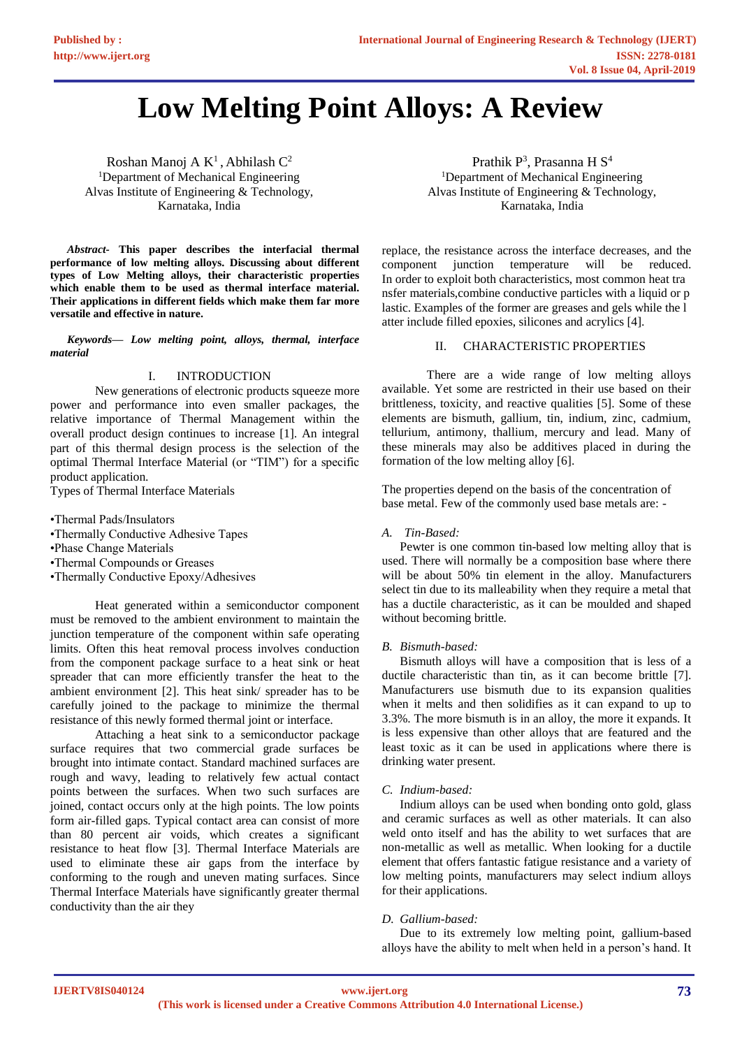# **Low Melting Point Alloys: A Review**

Roshan Manoj A $K^1$ , Abhilash  $C^2$ <sup>1</sup>Department of Mechanical Engineering Alvas Institute of Engineering & Technology, Karnataka, India

*Abstract-* **This paper describes the interfacial thermal performance of low melting alloys. Discussing about different types of Low Melting alloys, their characteristic properties which enable them to be used as thermal interface material. Their applications in different fields which make them far more versatile and effective in nature.**

*Keywords— Low melting point, alloys, thermal, interface material*

#### I. INTRODUCTION

New generations of electronic products squeeze more power and performance into even smaller packages, the relative importance of Thermal Management within the overall product design continues to increase [1]. An integral part of this thermal design process is the selection of the optimal Thermal Interface Material (or "TIM") for a specific product application.

Types of Thermal Interface Materials

•Thermal Pads/Insulators

- •Thermally Conductive Adhesive Tapes
- •Phase Change Materials
- •Thermal Compounds or Greases
- •Thermally Conductive Epoxy/Adhesives

Heat generated within a semiconductor component must be removed to the ambient environment to maintain the junction temperature of the component within safe operating limits. Often this heat removal process involves conduction from the component package surface to a heat sink or heat spreader that can more efficiently transfer the heat to the ambient environment [2]. This heat sink/ spreader has to be carefully joined to the package to minimize the thermal resistance of this newly formed thermal joint or interface.

Attaching a heat sink to a semiconductor package surface requires that two commercial grade surfaces be brought into intimate contact. Standard machined surfaces are rough and wavy, leading to relatively few actual contact points between the surfaces. When two such surfaces are joined, contact occurs only at the high points. The low points form air-filled gaps. Typical contact area can consist of more than 80 percent air voids, which creates a significant resistance to heat flow [3]. Thermal Interface Materials are used to eliminate these air gaps from the interface by conforming to the rough and uneven mating surfaces. Since Thermal Interface Materials have significantly greater thermal conductivity than the air they

Prathik P<sup>3</sup>, Prasanna H S<sup>4</sup> <sup>1</sup>Department of Mechanical Engineering Alvas Institute of Engineering & Technology, Karnataka, India

replace, the resistance across the interface decreases, and the component junction temperature will be reduced. In order to exploit both characteristics, most common heat tra nsfer materials,combine conductive particles with a liquid or p lastic. Examples of the former are greases and gels while the l atter include filled epoxies, silicones and acrylics [4].

#### II. CHARACTERISTIC PROPERTIES

There are a wide range of low melting alloys available. Yet some are restricted in their use based on their brittleness, toxicity, and reactive qualities [5]. Some of these elements are bismuth, gallium, tin, indium, zinc, cadmium, tellurium, antimony, thallium, mercury and lead. Many of these minerals may also be additives placed in during the formation of the low melting alloy [6].

The properties depend on the basis of the concentration of base metal. Few of the commonly used base metals are: -

## *A. Tin-Based:*

Pewter is one common tin-based low melting alloy that is used. There will normally be a composition base where there will be about 50% tin element in the alloy. Manufacturers select tin due to its malleability when they require a metal that has a ductile characteristic, as it can be moulded and shaped without becoming brittle.

## *B. Bismuth-based:*

Bismuth alloys will have a composition that is less of a ductile characteristic than tin, as it can become brittle [7]. Manufacturers use bismuth due to its expansion qualities when it melts and then solidifies as it can expand to up to 3.3%. The more bismuth is in an alloy, the more it expands. It is less expensive than other alloys that are featured and the least toxic as it can be used in applications where there is drinking water present.

## *C. Indium-based:*

Indium alloys can be used when bonding onto gold, glass and ceramic surfaces as well as other materials. It can also weld onto itself and has the ability to wet surfaces that are non-metallic as well as metallic. When looking for a ductile element that offers fantastic fatigue resistance and a variety of low melting points, manufacturers may select indium alloys for their applications.

## *D. Gallium-based:*

Due to its extremely low melting point, gallium-based alloys have the ability to melt when held in a person's hand. It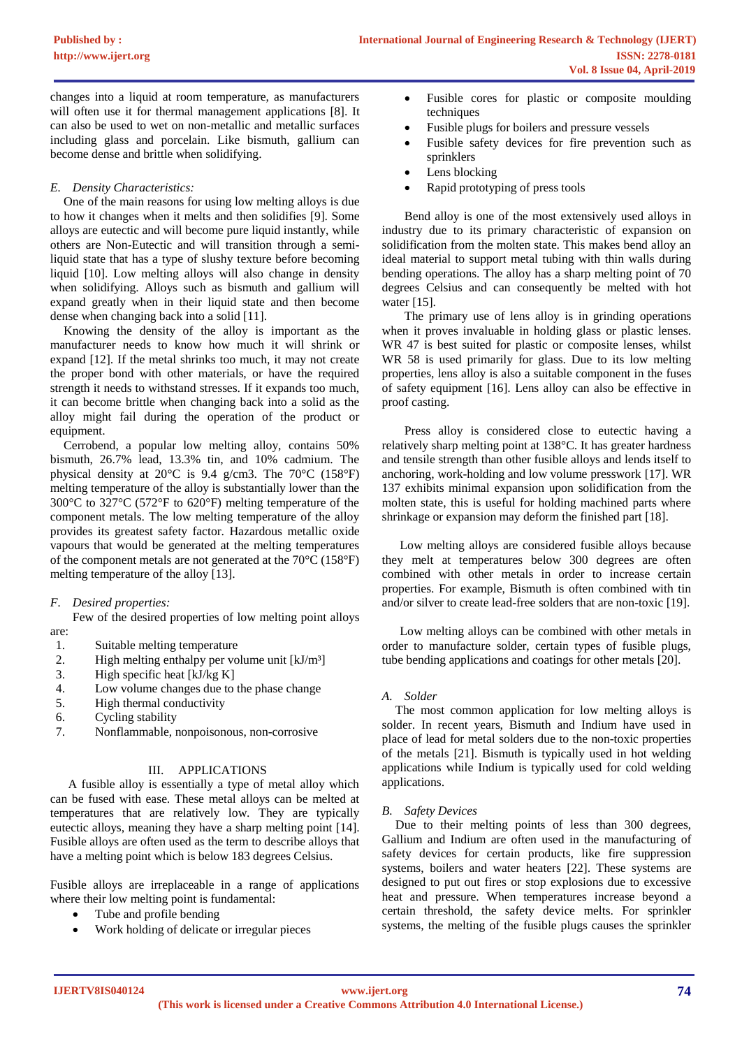changes into a liquid at room temperature, as manufacturers will often use it for thermal management applications [8]. It can also be used to wet on non-metallic and metallic surfaces including glass and porcelain. Like bismuth, gallium can become dense and brittle when solidifying.

#### *E. Density Characteristics:*

One of the main reasons for using low melting alloys is due to how it changes when it melts and then solidifies [9]. Some alloys are eutectic and will become pure liquid instantly, while others are Non-Eutectic and will transition through a semiliquid state that has a type of slushy texture before becoming liquid [10]. Low melting alloys will also change in density when solidifying. Alloys such as bismuth and gallium will expand greatly when in their liquid state and then become dense when changing back into a solid [11].

Knowing the density of the alloy is important as the manufacturer needs to know how much it will shrink or expand [12]. If the metal shrinks too much, it may not create the proper bond with other materials, or have the required strength it needs to withstand stresses. If it expands too much, it can become brittle when changing back into a solid as the alloy might fail during the operation of the product or equipment.

Cerrobend, a popular low melting alloy, contains 50% bismuth, 26.7% lead, 13.3% tin, and 10% cadmium. The physical density at 20°C is 9.4 g/cm3. The 70°C (158°F) melting temperature of the alloy is substantially lower than the 300°C to 327°C (572°F to 620°F) melting temperature of the component metals. The low melting temperature of the alloy provides its greatest safety factor. Hazardous metallic oxide vapours that would be generated at the melting temperatures of the component metals are not generated at the 70°C (158°F) melting temperature of the alloy [13].

## *F. Desired properties:*

Few of the desired properties of low melting point alloys are:

- 1. Suitable melting temperature
- 2. High melting enthalpy per volume unit  $[kJ/m<sup>3</sup>]$
- 3. High specific heat [kJ/kg K]
- 4. Low volume changes due to the phase change
- 5. High thermal conductivity
- 6. Cycling stability
- 7. Nonflammable, nonpoisonous, non-corrosive

## III. APPLICATIONS

A fusible alloy is essentially a type of metal alloy which can be fused with ease. These metal alloys can be melted at temperatures that are relatively low. They are typically eutectic alloys, meaning they have a sharp melting point [14]. Fusible alloys are often used as the term to describe alloys that have a melting point which is below 183 degrees Celsius.

Fusible alloys are irreplaceable in a range of applications where their low melting point is fundamental:

- Tube and profile bending
- Work holding of delicate or irregular pieces
- Fusible cores for plastic or composite moulding techniques
- Fusible plugs for boilers and pressure vessels
- Fusible safety devices for fire prevention such as sprinklers
- Lens blocking
- Rapid prototyping of press tools

Bend alloy is one of the most extensively used alloys in industry due to its primary characteristic of expansion on solidification from the molten state. This makes bend alloy an ideal material to support metal tubing with thin walls during bending operations. The alloy has a sharp melting point of 70 degrees Celsius and can consequently be melted with hot water [15].

The primary use of lens alloy is in grinding operations when it proves invaluable in holding glass or plastic lenses. WR 47 is best suited for plastic or composite lenses, whilst WR 58 is used primarily for glass. Due to its low melting properties, lens alloy is also a suitable component in the fuses of safety equipment [16]. Lens alloy can also be effective in proof casting.

Press alloy is considered close to eutectic having a relatively sharp melting point at 138°C. It has greater hardness and tensile strength than other fusible alloys and lends itself to anchoring, work-holding and low volume presswork [17]. WR 137 exhibits minimal expansion upon solidification from the molten state, this is useful for holding machined parts where shrinkage or expansion may deform the finished part [18].

Low melting alloys are considered fusible alloys because they melt at temperatures below 300 degrees are often combined with other metals in order to increase certain properties. For example, Bismuth is often combined with tin and/or silver to create lead-free solders that are non-toxic [19].

Low melting alloys can be combined with other metals in order to manufacture solder, certain types of fusible plugs, tube bending applications and coatings for other metals [20].

#### *A. Solder*

The most common application for low melting alloys is solder. In recent years, Bismuth and Indium have used in place of lead for metal solders due to the non-toxic properties of the metals [21]. Bismuth is typically used in hot welding applications while Indium is typically used for cold welding applications.

#### *B. Safety Devices*

Due to their melting points of less than 300 degrees, Gallium and Indium are often used in the manufacturing of safety devices for certain products, like fire suppression systems, boilers and water heaters [22]. These systems are designed to put out fires or stop explosions due to excessive heat and pressure. When temperatures increase beyond a certain threshold, the safety device melts. For sprinkler systems, the melting of the fusible plugs causes the sprinkler